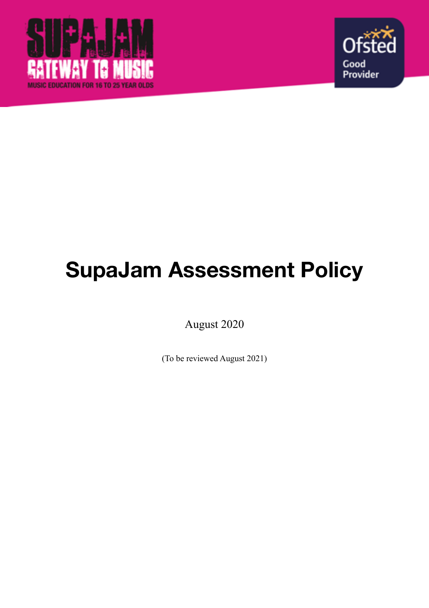



# **SupaJam Assessment Policy**

August 2020

(To be reviewed August 2021)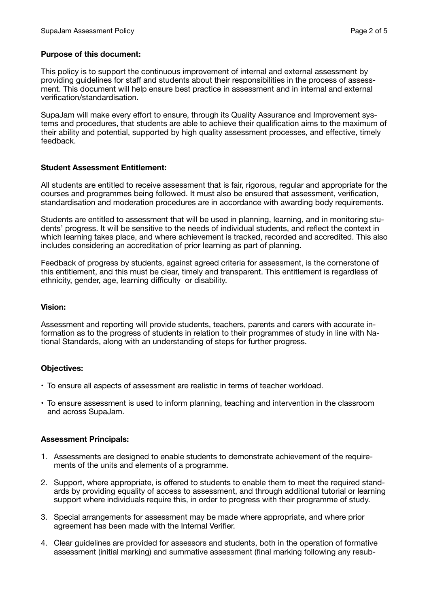## **Purpose of this document:**

This policy is to support the continuous improvement of internal and external assessment by providing guidelines for staff and students about their responsibilities in the process of assessment. This document will help ensure best practice in assessment and in internal and external verification/standardisation.

SupaJam will make every effort to ensure, through its Quality Assurance and Improvement systems and procedures, that students are able to achieve their qualification aims to the maximum of their ability and potential, supported by high quality assessment processes, and effective, timely feedback.

## **Student Assessment Entitlement:**

All students are entitled to receive assessment that is fair, rigorous, regular and appropriate for the courses and programmes being followed. It must also be ensured that assessment, verification, standardisation and moderation procedures are in accordance with awarding body requirements.

Students are entitled to assessment that will be used in planning, learning, and in monitoring students' progress. It will be sensitive to the needs of individual students, and reflect the context in which learning takes place, and where achievement is tracked, recorded and accredited. This also includes considering an accreditation of prior learning as part of planning.

Feedback of progress by students, against agreed criteria for assessment, is the cornerstone of this entitlement, and this must be clear, timely and transparent. This entitlement is regardless of ethnicity, gender, age, learning difficulty or disability.

#### **Vision:**

Assessment and reporting will provide students, teachers, parents and carers with accurate information as to the progress of students in relation to their programmes of study in line with National Standards, along with an understanding of steps for further progress.

# **Objectives:**

- To ensure all aspects of assessment are realistic in terms of teacher workload.
- To ensure assessment is used to inform planning, teaching and intervention in the classroom and across SupaJam.

#### **Assessment Principals:**

- 1. Assessments are designed to enable students to demonstrate achievement of the requirements of the units and elements of a programme.
- 2. Support, where appropriate, is offered to students to enable them to meet the required standards by providing equality of access to assessment, and through additional tutorial or learning support where individuals require this, in order to progress with their programme of study.
- 3. Special arrangements for assessment may be made where appropriate, and where prior agreement has been made with the Internal Verifier.
- 4. Clear guidelines are provided for assessors and students, both in the operation of formative assessment (initial marking) and summative assessment (final marking following any resub-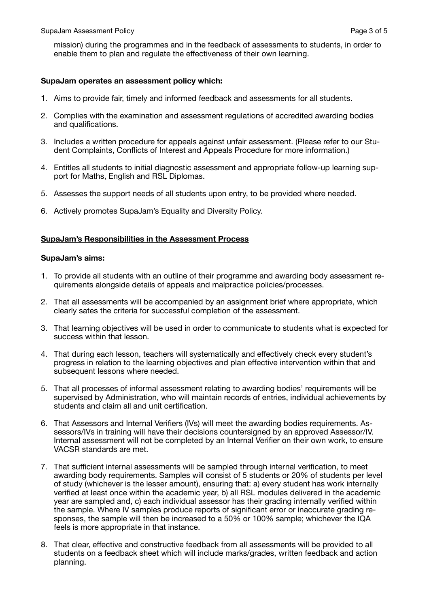mission) during the programmes and in the feedback of assessments to students, in order to enable them to plan and regulate the effectiveness of their own learning.

## **SupaJam operates an assessment policy which:**

- 1. Aims to provide fair, timely and informed feedback and assessments for all students.
- 2. Complies with the examination and assessment regulations of accredited awarding bodies and qualifications.
- 3. Includes a written procedure for appeals against unfair assessment. (Please refer to our Student Complaints, Conflicts of Interest and Appeals Procedure for more information.)
- 4. Entitles all students to initial diagnostic assessment and appropriate follow-up learning support for Maths, English and RSL Diplomas.
- 5. Assesses the support needs of all students upon entry, to be provided where needed.
- 6. Actively promotes SupaJam's Equality and Diversity Policy.

# **SupaJam's Responsibilities in the Assessment Process**

#### **SupaJam's aims:**

- 1. To provide all students with an outline of their programme and awarding body assessment requirements alongside details of appeals and malpractice policies/processes.
- 2. That all assessments will be accompanied by an assignment brief where appropriate, which clearly sates the criteria for successful completion of the assessment.
- 3. That learning objectives will be used in order to communicate to students what is expected for success within that lesson.
- 4. That during each lesson, teachers will systematically and effectively check every student's progress in relation to the learning objectives and plan effective intervention within that and subsequent lessons where needed.
- 5. That all processes of informal assessment relating to awarding bodies' requirements will be supervised by Administration, who will maintain records of entries, individual achievements by students and claim all and unit certification.
- 6. That Assessors and Internal Verifiers (IVs) will meet the awarding bodies requirements. Assessors/IVs in training will have their decisions countersigned by an approved Assessor/IV. Internal assessment will not be completed by an Internal Verifier on their own work, to ensure VACSR standards are met.
- 7. That sufficient internal assessments will be sampled through internal verification, to meet awarding body requirements. Samples will consist of 5 students or 20% of students per level of study (whichever is the lesser amount), ensuring that: a) every student has work internally verified at least once within the academic year, b) all RSL modules delivered in the academic year are sampled and, c) each individual assessor has their grading internally verified within the sample. Where IV samples produce reports of significant error or inaccurate grading responses, the sample will then be increased to a 50% or 100% sample; whichever the IQA feels is more appropriate in that instance.
- 8. That clear, effective and constructive feedback from all assessments will be provided to all students on a feedback sheet which will include marks/grades, written feedback and action planning.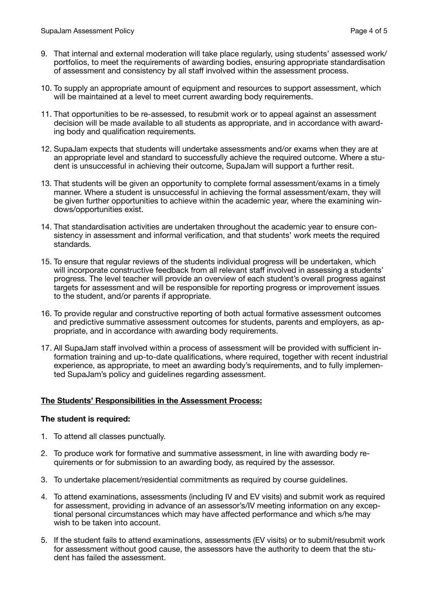- 9. That internal and external moderation will take place regularly, using students' assessed work/ portfolios, to meet the requirements of awarding bodies, ensuring appropriate standardisation of assessment and consistency by all staff involved within the assessment process.
- 10. To supply an appropriate amount of equipment and resources to support assessment, which will be maintained at a level to meet current awarding body requirements.
- 11. That opportunities to be re-assessed, to resubmit work or to appeal against an assessment decision will be made available to all students as appropriate, and in accordance with awarding body and qualification requirements.
- 12. SupaJam expects that students will undertake assessments and/or exams when they are at an appropriate level and standard to successfully achieve the required outcome. Where a student is unsuccessful in achieving their outcome, SupaJam will support a further resit.
- 13. That students will be given an opportunity to complete formal assessment/exams in a timely manner. Where a student is unsuccessful in achieving the formal assessment/exam, they will be given further opportunities to achieve within the academic year, where the examining windows/opportunities exist.
- 14. That standardisation activities are undertaken throughout the academic year to ensure consistency in assessment and informal verification, and that students' work meets the required standards.
- 15. To ensure that regular reviews of the students individual progress will be undertaken, which will incorporate constructive feedback from all relevant staff involved in assessing a students' progress. The level teacher will provide an overview of each student's overall progress against targets for assessment and will be responsible for reporting progress or improvement issues to the student, and/or parents if appropriate.
- 16. To provide regular and constructive reporting of both actual formative assessment outcomes and predictive summative assessment outcomes for students, parents and employers, as appropriate, and in accordance with awarding body requirements.
- 17. All SupaJam staff involved within a process of assessment will be provided with sufficient information training and up-to-date qualifications, where required, together with recent industrial experience, as appropriate, to meet an awarding body's requirements, and to fully implemented SupaJam's policy and guidelines regarding assessment.

# **The Students' Responsibilities in the Assessment Process:**

# **The student is required:**

- 1. To attend all classes punctually.
- 2. To produce work for formative and summative assessment, in line with awarding body requirements or for submission to an awarding body, as required by the assessor.
- 3. To undertake placement/residential commitments as required by course guidelines.
- 4. To attend examinations, assessments (including IV and EV visits) and submit work as required for assessment, providing in advance of an assessor's/IV meeting information on any exceptional personal circumstances which may have affected performance and which s/he may wish to be taken into account.
- 5. If the student fails to attend examinations, assessments (EV visits) or to submit/resubmit work for assessment without good cause, the assessors have the authority to deem that the student has failed the assessment.